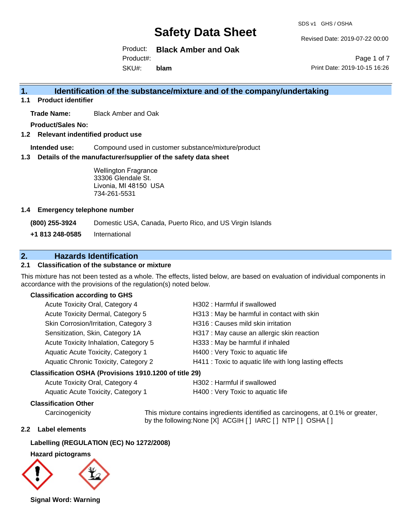SDS v1 GHS / OSHA

Revised Date: 2019-07-22 00:00

Product: **Black Amber and Oak** SKU#: Product#: **blam**

Page 1 of 7 Print Date: 2019-10-15 16:26

### **1. Identification of the substance/mixture and of the company/undertaking**

**1.1 Product identifier**

**Trade Name:** Black Amber and Oak

**Product/Sales No:**

**1.2 Relevant indentified product use**

**Intended use:** Compound used in customer substance/mixture/product

**1.3 Details of the manufacturer/supplier of the safety data sheet**

Wellington Fragrance 33306 Glendale St. Livonia, MI 48150 USA 734-261-5531

#### **1.4 Emergency telephone number**

**(800) 255-3924** Domestic USA, Canada, Puerto Rico, and US Virgin Islands

**+1 813 248-0585** International

## **2. Hazards Identification**

#### **2.1 Classification of the substance or mixture**

This mixture has not been tested as a whole. The effects, listed below, are based on evaluation of individual components in accordance with the provisions of the regulation(s) noted below.

#### **Classification according to GHS**

| Acute Toxicity Oral, Category 4       | H302: Harmful if swallowed                             |
|---------------------------------------|--------------------------------------------------------|
| Acute Toxicity Dermal, Category 5     | H313: May be harmful in contact with skin              |
| Skin Corrosion/Irritation, Category 3 | H316 : Causes mild skin irritation                     |
| Sensitization, Skin, Category 1A      | H317 : May cause an allergic skin reaction             |
| Acute Toxicity Inhalation, Category 5 | H333: May be harmful if inhaled                        |
| Aquatic Acute Toxicity, Category 1    | H400 : Very Toxic to aquatic life                      |
| Aquatic Chronic Toxicity, Category 2  | H411 : Toxic to aquatic life with long lasting effects |
| $\mathbf{r}$ , and it is a loop in an |                                                        |

#### **Classification OSHA (Provisions 1910.1200 of title 29)**

| Acute Toxicity Oral, Category 4    | H302 : H |
|------------------------------------|----------|
| Aquatic Acute Toxicity, Category 1 | H400 : V |

## larmful if swallowed

'ery Toxic to aquatic life

#### **Classification Other**

Carcinogenicity This mixture contains ingredients identified as carcinogens, at 0.1% or greater, by the following:None [X] ACGIH [ ] IARC [ ] NTP [ ] OSHA [ ]

#### **2.2 Label elements**

#### **Labelling (REGULATION (EC) No 1272/2008)**

**Hazard pictograms**



**Signal Word: Warning**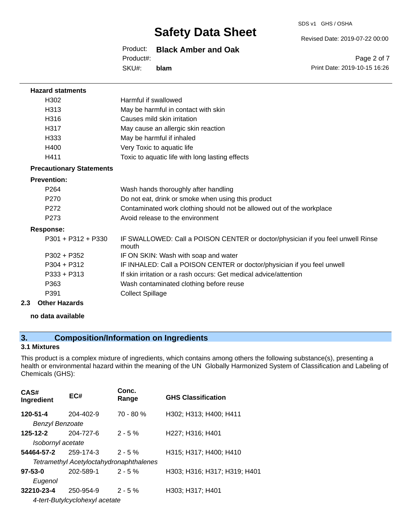SDS v1 GHS / OSHA

Revised Date: 2019-07-22 00:00

Product: **Black Amber and Oak**

Product#:

SKU#: **blam**

Page 2 of 7 Print Date: 2019-10-15 16:26

| <b>Hazard statments</b>         |                                                                                          |
|---------------------------------|------------------------------------------------------------------------------------------|
| H <sub>302</sub>                | Harmful if swallowed                                                                     |
| H313                            | May be harmful in contact with skin                                                      |
| H <sub>316</sub>                | Causes mild skin irritation                                                              |
| H317                            | May cause an allergic skin reaction                                                      |
| H333                            | May be harmful if inhaled                                                                |
| H400                            | Very Toxic to aquatic life                                                               |
| H411                            | Toxic to aquatic life with long lasting effects                                          |
| <b>Precautionary Statements</b> |                                                                                          |
| <b>Prevention:</b>              |                                                                                          |
| P <sub>264</sub>                | Wash hands thoroughly after handling                                                     |
| P <sub>270</sub>                | Do not eat, drink or smoke when using this product                                       |
| P <sub>272</sub>                | Contaminated work clothing should not be allowed out of the workplace                    |
| P <sub>273</sub>                | Avoid release to the environment                                                         |
| <b>Response:</b>                |                                                                                          |
| $P301 + P312 + P330$            | IF SWALLOWED: Call a POISON CENTER or doctor/physician if you feel unwell Rinse<br>mouth |
| $P302 + P352$                   | IF ON SKIN: Wash with soap and water                                                     |
| $P304 + P312$                   | IF INHALED: Call a POISON CENTER or doctor/physician if you feel unwell                  |
| $P333 + P313$                   | If skin irritation or a rash occurs: Get medical advice/attention                        |
| P363                            | Wash contaminated clothing before reuse                                                  |
| P391                            | <b>Collect Spillage</b>                                                                  |
| 2.3<br><b>Other Hazards</b>     |                                                                                          |

**no data available**

## **3. Composition/Information on Ingredients**

#### **3.1 Mixtures**

This product is a complex mixture of ingredients, which contains among others the following substance(s), presenting a health or environmental hazard within the meaning of the UN Globally Harmonized System of Classification and Labeling of Chemicals (GHS):

| CAS#<br>Ingredient                 | EC#                                     | Conc.<br>Range | <b>GHS Classification</b>    |
|------------------------------------|-----------------------------------------|----------------|------------------------------|
| 120-51-4<br><b>Benzyl Benzoate</b> | $204 - 402 - 9$                         | $70 - 80 %$    | H302; H313; H400; H411       |
| 125-12-2<br>Isobornyl acetate      | 204-727-6                               | $2 - 5%$       | H227; H316; H401             |
| 54464-57-2                         | 259-174-3                               | $2 - 5%$       | H315; H317; H400; H410       |
|                                    | Tetramethyl Acetyloctahydronaphthalenes |                |                              |
| $97 - 53 - 0$<br>Eugenol           | 202-589-1                               | $2 - 5%$       | H303; H316; H317; H319; H401 |
| 32210-23-4                         | 250-954-9                               | $2 - 5%$       | H303; H317; H401             |
|                                    | 4-tert-Butylcyclohexyl acetate          |                |                              |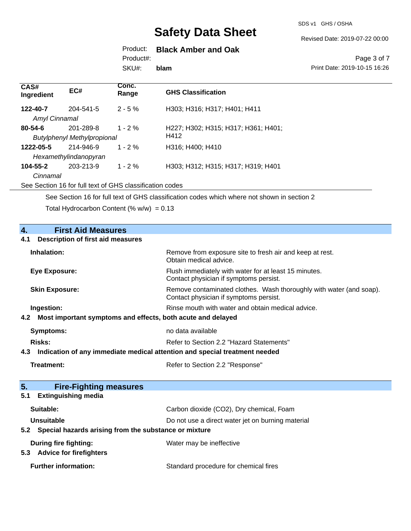SDS v1 GHS / OSHA

Revised Date: 2019-07-22 00:00

## Product: **Black Amber and Oak**

Product#:

SKU#: **blam**

#### Page 3 of 7 Print Date: 2019-10-15 16:26

| CAS#<br>Ingredient | EC#                                | Conc.<br>Range | <b>GHS Classification</b>           |
|--------------------|------------------------------------|----------------|-------------------------------------|
| 122-40-7           | 204-541-5                          | $2 - 5\%$      | H303; H316; H317; H401; H411        |
| Amyl Cinnamal      |                                    |                |                                     |
| $80 - 54 - 6$      | 201-289-8                          | $1 - 2\%$      | H227; H302; H315; H317; H361; H401; |
|                    | <b>Butylphenyl Methylpropional</b> |                | H412                                |
| 1222-05-5          | 214-946-9                          | $1 - 2\%$      | H316: H400: H410                    |
|                    | Hexamethylindanopyran              |                |                                     |
| $104 - 55 - 2$     | 203-213-9                          | $1 - 2\%$      | H303; H312; H315; H317; H319; H401  |
| Cinnamal           |                                    |                |                                     |

See Section 16 for full text of GHS classification codes

See Section 16 for full text of GHS classification codes which where not shown in section 2

Total Hydrocarbon Content (%  $w/w$ ) = 0.13

| 4.<br><b>First Aid Measures</b>                                                   |                                                                                                               |  |
|-----------------------------------------------------------------------------------|---------------------------------------------------------------------------------------------------------------|--|
| <b>Description of first aid measures</b><br>4.1                                   |                                                                                                               |  |
| Inhalation:                                                                       | Remove from exposure site to fresh air and keep at rest.<br>Obtain medical advice.                            |  |
| <b>Eye Exposure:</b>                                                              | Flush immediately with water for at least 15 minutes.<br>Contact physician if symptoms persist.               |  |
| <b>Skin Exposure:</b>                                                             | Remove contaminated clothes. Wash thoroughly with water (and soap).<br>Contact physician if symptoms persist. |  |
| Ingestion:                                                                        | Rinse mouth with water and obtain medical advice.                                                             |  |
| Most important symptoms and effects, both acute and delayed<br>4.2                |                                                                                                               |  |
| <b>Symptoms:</b>                                                                  | no data available                                                                                             |  |
| Risks:                                                                            | Refer to Section 2.2 "Hazard Statements"                                                                      |  |
| Indication of any immediate medical attention and special treatment needed<br>4.3 |                                                                                                               |  |
| Treatment:                                                                        | Refer to Section 2.2 "Response"                                                                               |  |
|                                                                                   |                                                                                                               |  |
| 5 <sub>1</sub><br><b>Fire-Fighting measures</b>                                   |                                                                                                               |  |
| <b>Extinguishing media</b><br>5.1                                                 |                                                                                                               |  |
| Suitable:                                                                         | Carbon dioxide (CO2), Dry chemical, Foam                                                                      |  |
| <b>Unsuitable</b>                                                                 | Do not use a direct water jet on burning material                                                             |  |
| Special hazards arising from the substance or mixture<br>5.2                      |                                                                                                               |  |
| <b>During fire fighting:</b><br><b>Advice for firefighters</b><br>5.3             | Water may be ineffective                                                                                      |  |
| <b>Further information:</b>                                                       | Standard procedure for chemical fires                                                                         |  |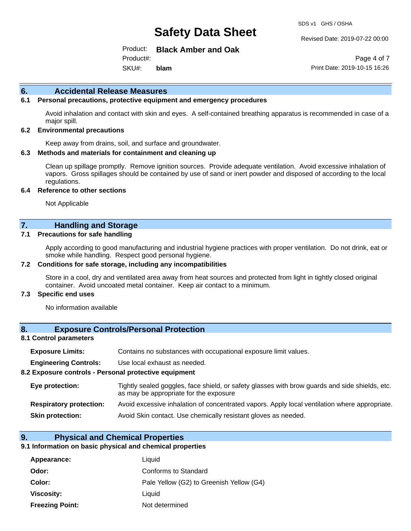SDS v1 GHS / OSHA

Revised Date: 2019-07-22 00:00

Product: **Black Amber and Oak**

SKU#: Product#: **blam**

Page 4 of 7 Print Date: 2019-10-15 16:26

#### **6. Accidental Release Measures**

#### **6.1 Personal precautions, protective equipment and emergency procedures**

Avoid inhalation and contact with skin and eyes. A self-contained breathing apparatus is recommended in case of a major spill.

#### **6.2 Environmental precautions**

Keep away from drains, soil, and surface and groundwater.

#### **6.3 Methods and materials for containment and cleaning up**

Clean up spillage promptly. Remove ignition sources. Provide adequate ventilation. Avoid excessive inhalation of vapors. Gross spillages should be contained by use of sand or inert powder and disposed of according to the local regulations.

#### **6.4 Reference to other sections**

Not Applicable

#### **7. Handling and Storage**

#### **7.1 Precautions for safe handling**

Apply according to good manufacturing and industrial hygiene practices with proper ventilation. Do not drink, eat or smoke while handling. Respect good personal hygiene.

#### **7.2 Conditions for safe storage, including any incompatibilities**

Store in a cool, dry and ventilated area away from heat sources and protected from light in tightly closed original container. Avoid uncoated metal container. Keep air contact to a minimum.

#### **7.3 Specific end uses**

No information available

#### **8. Exposure Controls/Personal Protection**

#### **8.1 Control parameters**

| <b>Exposure Limits:</b> |  | Contains no substances with occupational exposure limit values. |  |  |  |
|-------------------------|--|-----------------------------------------------------------------|--|--|--|
|-------------------------|--|-----------------------------------------------------------------|--|--|--|

**Engineering Controls:** Use local exhaust as needed.

#### **8.2 Exposure controls - Personal protective equipment**

| Eye protection:                | Tightly sealed goggles, face shield, or safety glasses with brow guards and side shields, etc.<br>as may be appropriate for the exposure |
|--------------------------------|------------------------------------------------------------------------------------------------------------------------------------------|
| <b>Respiratory protection:</b> | Avoid excessive inhalation of concentrated vapors. Apply local ventilation where appropriate.                                            |
| <b>Skin protection:</b>        | Avoid Skin contact. Use chemically resistant gloves as needed.                                                                           |

#### **9. Physical and Chemical Properties**

#### **9.1 Information on basic physical and chemical properties**

| Appearance:            | Liquid                                   |
|------------------------|------------------------------------------|
| Odor:                  | Conforms to Standard                     |
| Color:                 | Pale Yellow (G2) to Greenish Yellow (G4) |
| Viscosity:             | Liauid                                   |
| <b>Freezing Point:</b> | Not determined                           |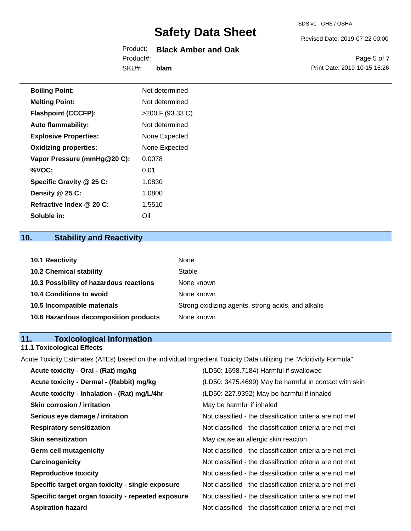## Product: **Black Amber and Oak** Product#:

SKU#: **blam** Revised Date: 2019-07-22 00:00

Page 5 of 7 Print Date: 2019-10-15 16:26

| <b>Boiling Point:</b>        | Not determined     |
|------------------------------|--------------------|
| <b>Melting Point:</b>        | Not determined     |
| <b>Flashpoint (CCCFP):</b>   | $>200$ F (93.33 C) |
| <b>Auto flammability:</b>    | Not determined     |
| <b>Explosive Properties:</b> | None Expected      |
| <b>Oxidizing properties:</b> | None Expected      |
| Vapor Pressure (mmHg@20 C):  | 0.0078             |
| %VOC:                        | 0.01               |
| Specific Gravity @ 25 C:     | 1.0830             |
| Density @ 25 C:              | 1.0800             |
| Refractive Index @ 20 C:     | 1.5510             |
| Soluble in:                  | Oil                |

## **10. Stability and Reactivity**

| <b>10.1 Reactivity</b>                  | None                                               |
|-----------------------------------------|----------------------------------------------------|
| <b>10.2 Chemical stability</b>          | Stable                                             |
| 10.3 Possibility of hazardous reactions | None known                                         |
| <b>10.4 Conditions to avoid</b>         | None known                                         |
| 10.5 Incompatible materials             | Strong oxidizing agents, strong acids, and alkalis |
| 10.6 Hazardous decomposition products   | None known                                         |

## **11. Toxicological Information**

## **11.1 Toxicological Effects**

Acute Toxicity Estimates (ATEs) based on the individual Ingredient Toxicity Data utilizing the "Additivity Formula"

| Acute toxicity - Oral - (Rat) mg/kg                | (LD50: 1698.7184) Harmful if swallowed                   |
|----------------------------------------------------|----------------------------------------------------------|
| Acute toxicity - Dermal - (Rabbit) mg/kg           | (LD50: 3475.4699) May be harmful in contact with skin    |
| Acute toxicity - Inhalation - (Rat) mg/L/4hr       | (LD50: 227.9392) May be harmful if inhaled               |
| <b>Skin corrosion / irritation</b>                 | May be harmful if inhaled                                |
| Serious eye damage / irritation                    | Not classified - the classification criteria are not met |
| <b>Respiratory sensitization</b>                   | Not classified - the classification criteria are not met |
| <b>Skin sensitization</b>                          | May cause an allergic skin reaction                      |
| <b>Germ cell mutagenicity</b>                      | Not classified - the classification criteria are not met |
| Carcinogenicity                                    | Not classified - the classification criteria are not met |
| <b>Reproductive toxicity</b>                       | Not classified - the classification criteria are not met |
| Specific target organ toxicity - single exposure   | Not classified - the classification criteria are not met |
| Specific target organ toxicity - repeated exposure | Not classified - the classification criteria are not met |
| <b>Aspiration hazard</b>                           | Not classified - the classification criteria are not met |
|                                                    |                                                          |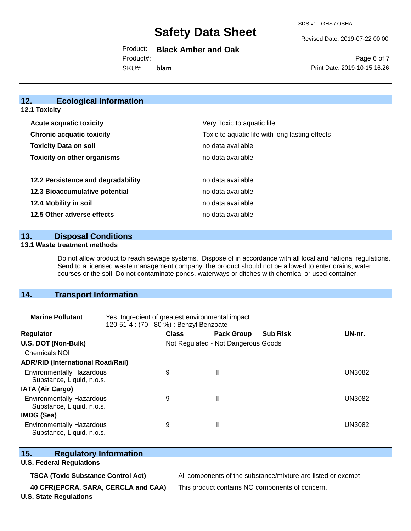SDS v1 GHS / OSHA

Revised Date: 2019-07-22 00:00

Product: **Black Amber and Oak**

SKU#: Product#: **blam**

Page 6 of 7 Print Date: 2019-10-15 16:26

#### **12. Ecological Information 12.1 Toxicity**

| <b>Acute acquatic toxicity</b>     | Very Toxic to aquatic life                      |
|------------------------------------|-------------------------------------------------|
| <b>Chronic acquatic toxicity</b>   | Toxic to aquatic life with long lasting effects |
| <b>Toxicity Data on soil</b>       | no data available                               |
| <b>Toxicity on other organisms</b> | no data available                               |
|                                    |                                                 |
| 12.2 Persistence and degradability | no data available                               |
| 12.3 Bioaccumulative potential     | no data available                               |
| 12.4 Mobility in soil              | no data available                               |
| 12.5 Other adverse effects         | no data available                               |

**13. Disposal Conditions** 

#### **13.1 Waste treatment methods**

Do not allow product to reach sewage systems. Dispose of in accordance with all local and national regulations. Send to a licensed waste management company.The product should not be allowed to enter drains, water courses or the soil. Do not contaminate ponds, waterways or ditches with chemical or used container.

## **14. Transport Information**

| <b>Marine Pollutant</b>                                       | Yes. Ingredient of greatest environmental impact:<br>120-51-4 : (70 - 80 %) : Benzyl Benzoate |                                     |                   |                 |               |
|---------------------------------------------------------------|-----------------------------------------------------------------------------------------------|-------------------------------------|-------------------|-----------------|---------------|
| <b>Regulator</b>                                              |                                                                                               | <b>Class</b>                        | <b>Pack Group</b> | <b>Sub Risk</b> | UN-nr.        |
| U.S. DOT (Non-Bulk)                                           |                                                                                               | Not Regulated - Not Dangerous Goods |                   |                 |               |
| <b>Chemicals NOI</b>                                          |                                                                                               |                                     |                   |                 |               |
| <b>ADR/RID (International Road/Rail)</b>                      |                                                                                               |                                     |                   |                 |               |
| <b>Environmentally Hazardous</b><br>Substance, Liquid, n.o.s. |                                                                                               | 9                                   | Ш                 |                 | <b>UN3082</b> |
| <b>IATA (Air Cargo)</b>                                       |                                                                                               |                                     |                   |                 |               |
| <b>Environmentally Hazardous</b><br>Substance, Liquid, n.o.s. |                                                                                               | 9                                   | Ш                 |                 | <b>UN3082</b> |
| <b>IMDG (Sea)</b>                                             |                                                                                               |                                     |                   |                 |               |
| <b>Environmentally Hazardous</b><br>Substance, Liquid, n.o.s. |                                                                                               | 9                                   | Ш                 |                 | UN3082        |

### **15. Regulatory Information**

#### **U.S. Federal Regulations**

**40 CFR(EPCRA, SARA, CERCLA and CAA)** This product contains NO components of concern.

**TSCA (Toxic Substance Control Act)** All components of the substance/mixture are listed or exempt

**U.S. State Regulations**